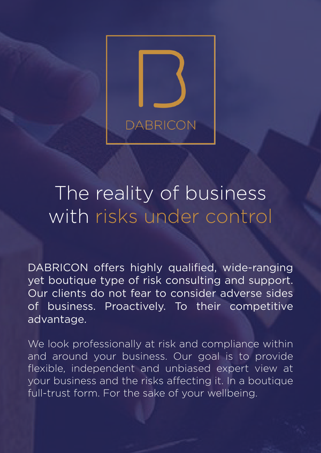

# The reality of business with risks under control

DABRICON offers highly qualified, wide-ranging yet boutique type of risk consulting and support. Our clients do not fear to consider adverse sides of business. Proactively. To their competitive advantage.

We look professionally at risk and compliance within and around your business. Our goal is to provide flexible, independent and unbiased expert view at your business and the risks affecting it. In a boutique full-trust form. For the sake of your wellbeing.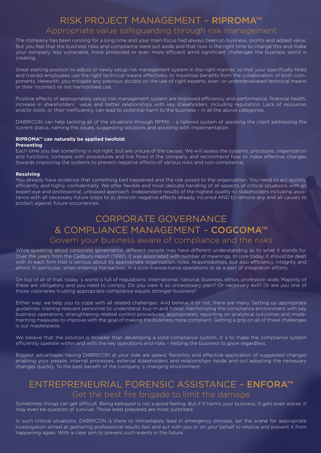### RISK PROJECT MANAGEMENT – RIPROMA™ Appropriate value safeguarding through risk management

The company has been running for a long time and your main focus had always been on business, profits and added value. But you feel that the business risks and compliance were put aside and that now is the right time to change this and make your company less vulnerable, more protected or even more efficient amid significant challenges the business world is creating.

Great starting position to adjust or newly setup risk management system in the right manner, so that your specifically hired and trained employees use the right technical means effectively to maximise benefits from the collaboration of both components. Herewith, you mitigate any previous doubts on the use of right experts, over- or underdeveloped technical means or their incorrect or not harmonised use.

Positive effects of appropriately setup risk management system are improved efficiency and performance, financial health, increase in shareholders´ value and better relationships with key stakeholders, including reputation. Lack of resources and/or tools, or their inefficiency, can lead to potential harm to the business - in all the above categories.

DABRICON can help tackling all of the situations through RPM© – a tailored system of assisting the client addressing the current status, naming the issues, suggesting solutions and assisting with implementation.

#### **RIPROMA™ can naturally be applied twofold: Preventing**

Each time you feel something is not right, but are unsure of the causes. We will assess the systems, processes, organization and functions, compare with procedures and live flows in the company and recommend how to make effective changes towards improving the systems to prevent negative effects of various risks and non-compliance.

#### **Resolving**

You already have evidence that something bad happened and the risk posed to the organization. You need to act quickly, efficiently and highly confidentially. We offer flexible and most delicate handling of all aspects of critical situations with an expert eye and professional, unbiased approach. Independent results of the highest quality to stakeholders including assistance with all necessary future steps to a) diminish negative effects already incurred AND b) remove any and all causes to protect against future occurrences.

### CORPORATE GOVERNANCE & COMPLIANCE MANAGEMENT – COGCOMA™

#### Govern your business aware of compliance and the risks

While speaking about corporate governance, different people may have different understanding as to what it stands for. Over the years from the Cadbury report (1992), it was associated with number of meanings. In core today, it should be dealt with in each firm that is serious about its appropriate organisation, roles, responsibilities, but also efficiency, integrity and ethics. In particular, when entering transaction, in a post-transactional operations or as a part of integration efforts.

On top of all of that, today´s world is full of regulations. International, national, business, ethics, profession wide. Majority of these are obligatory and you need to comply. Do you view it as unnecessary pain? Or necessary evil? Or are you one of those visionaries trusting appropriate compliance equals stronger business?

Either way, we help you to cope with all related challenges. And believe it or not, there are many. Setting up appropriate guidelines, training relevant personnel to understand, buy-in and follow. Harmonizing the compliance environment with key business operations, strengthening related control procedures, appropriately reporting on analytical outcomes and implementing measures to improve with the goal of making the business more compliant. Getting a grip on all of these challenges is our masterpiece.

We believe that the solution is broader than developing a solid compliance system. It's to make the compliance system efficiently operate within and with the key operations and risks - helping the business to grow regardless.

Biggest advantages having DABRICON at your side are speed, flexibility and effective application of suggested changes enabling your people, internal processes, external stakeholders and relationships inside and out adopting the necessary changes quickly. To the best benefit of the company´s changing environment.

### ENTREPRENEURIAL FORENSIC ASSISTANCE – ENFORA™ Get the best fire brigade to limit the damage

Sometimes things can get difficult. Being betrayed is not a good feeling. But if it harms your business, it gets even worse. It may even be question of survival. Those least prepared are most surprised.

In such critical situations, DABRICON is there to immediately lead in emergency process, set the scene for appropriate investigation aimed at gathering professional results fast and act with you or on your behalf to resolve and prevent it from happening again. With a clear aim to prevent such events in the future.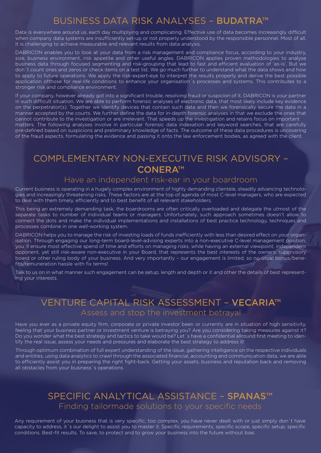### BUSINESS DATA RISK ANALYSES – BUDATRA™

Data is everywhere around us, each day multiplying and complicating. Effective use of data becomes increasingly difficult when company data systems are insufficiently set-up or not properly understood by the responsible personnel. Most of all, it is challenging to achieve measurable and relevant results from data analysis.

DABRICON enables you to look at your data from a risk management and compliance focus, according to your industry, size, business environment, risk appetite and other useful angles. DABRICON applies proven methodologies to analyse business data through focused segmenting and risk-grouping that lead to fast and efficient evaluation of 'as-is'. But we don´t count ones and zeros or check items on a test list. We go much further to understand what the data shows and how to apply to future operations. We apply the risk-expert-eye to interpret the results properly and derive the best possible application ofthose for real-life conditions to enhance your organisation´s processes and systems. This contributes to a stronger risk and compliance environment.

If your company, however already got into a significant trouble, resolving fraud or suspicion of it, DABRICON is your partner in such difficult situation. We are able to perform forensic analyses of electronic data, that most likely include key evidence on the perpetrator(s). Together we identify devices that contain such data and then we forensically secure the data in a manner accepted by the courts. We further define the data for in-depth forensic analyses in that we exclude the ones that cannot contribute to the investigation or are irrelevant. That speeds up the investigation and retains focus on important matters. The following analyses involve in particular forensic data indexation and keyword searches, that are carefully pre-defined based on suspicions and preliminary knowledge of facts. The outcome of these data procedures is uncovering of the fraud aspects, formulating the evidence and passing it onto the law enforcement bodies, as agreed with the client.

### COMPLEMENTARY NON-EXECUTIVE RISK ADVISORY – CONERA™

#### Have an independent risk-ear in your boardroom

Current business is operating in a hugely complex environment of highly demanding clientele, steadily advancing technologies and increasingly threatening risks. These factors are at the top of agenda of most C-level managers, who are expected to deal with them timely, efficiently and to best benefit of all relevant stakeholders.

This being an extremely demanding task, the boardrooms are often critically overloaded and delegate the utmost of the separate tasks to number of individual teams or managers. Unfortunately, such approach sometimes doesn't allow to connect the dots and make the individual implementations and installations of best practice technology, techniques and processes combine in one well-working system.

DABRICON helps you to manage the risk of investing loads of funds inefficiently with less than desired effect on your organisation. Through engaging our long-term board-level-advising experts into a non-executive C-level management position, you'll ensure most effective spend of time and efforts on managing risks, while having an external viewpoint, independent opponent, yet still risk-aware non-executive in your Board, that represents the best interests of the owners, supervisory board or other ruling body of your business. And very importantly – our engagement is limited, so no usual bonus/benefits/remuneration hassle with fix terms!

Talk to us on in what manner such engagement can be setup, length and depth or it and other the details of best representing your interests.

### VENTURE CAPITAL RISK ASSESSMENT – VECARIA™ Assess and stop the investment betrayal

Have you ever as a private equity firm, corporate or private investor been or currently are in situation of high sensitivity, feeling that your business partner or investment venture is betraying you? Are you considering taking measures against it? Do you wonder what the best strategy and tactics to take would be? Let´s have a confidential allround first meeting to identify the real issue, assess your needs and pressures and elaborate the best strategy to address it!

Through optimum combination of full expert understanding of the issue, gathering intelligence on the respective individuals and entities, using data analytics to crawl through the associated financial, accounting and communication data, we are able to efficiently assist you in preparing the right fight-back. Getting your assets, business and reputation back and removing all obstacles from your business´s operations.

### SPECIFIC ANALYTICAL ASSISTANCE – SPANAS™ Finding tailormade solutions to your specific needs

Any requirement of your business that is very specific, too complex, you have never dealt with or just simply don´t have capacity to address, it´s our delight to assist you to master it. Specific requirements, specific scope, specific setup, specific conditions. Best-fit results. To save, to protect and to grow your business into the future without bias.